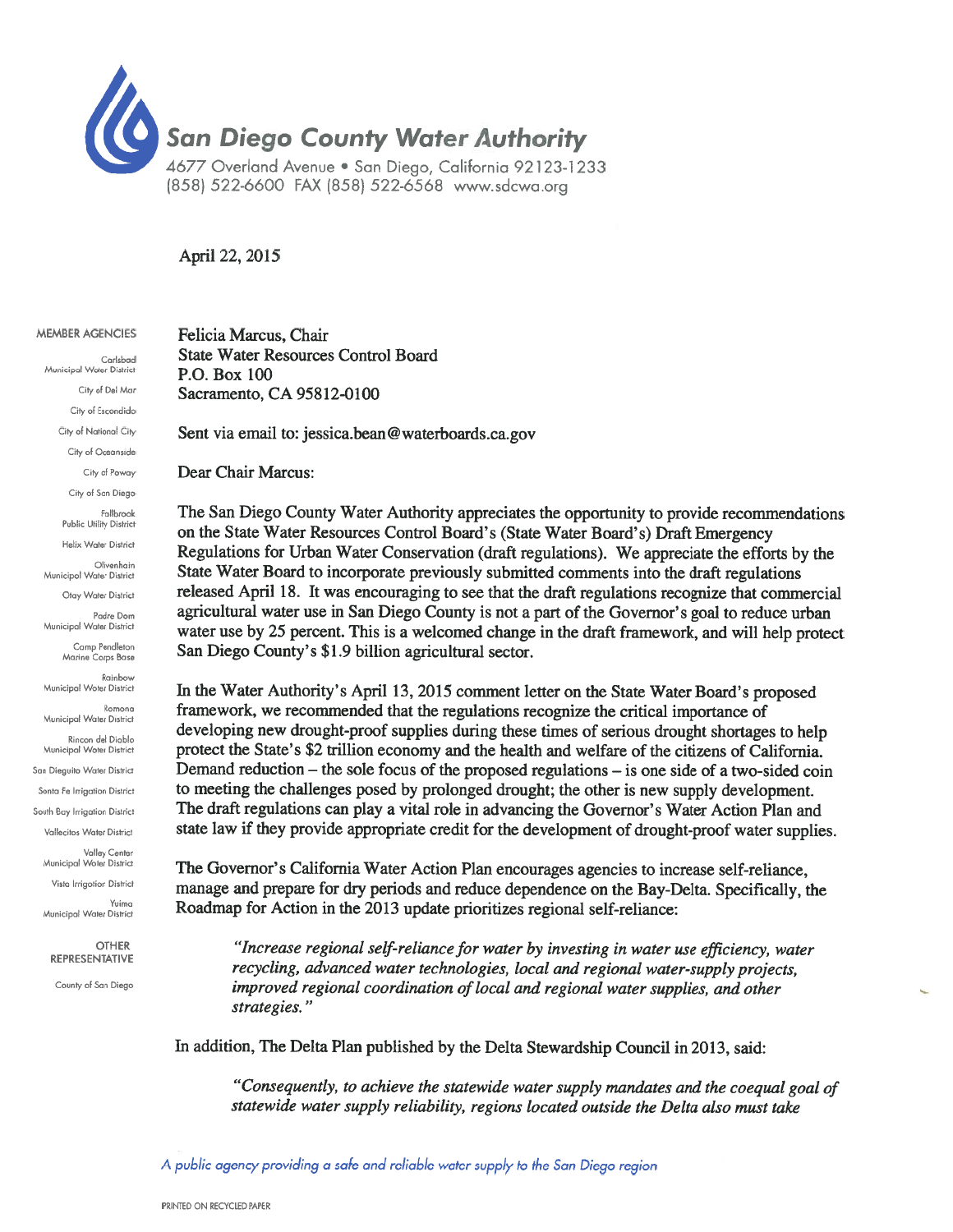

(858) 522-6600 FAX (858) 522-6568 www.sdcwa.org

## April 22, 2015

| <b>MEMBER AGENCIES</b> |
|------------------------|

Carlsbad Municipal Woter District City of Del Mar City of Escondido City of National City City of Oceanside City of Poway City of San Diego Fallbrook Public Utility District Helix Water District Olivenhain Municipol Water District Otav Water District Padre Dom Municipal Water District Camp Pendleton Marine Corps Base Rainbow Municipal Woter District  $R<sub>omona</sub>$ Municipal Water District Rincon del Diablo Municipal Woter District San Dieguito Water District Sonta Fe Irrigation District South Bay Irrigation District Vallecitos Water District Valley Center<br>Municipal Woter District Vista Irrigotion District Yuima Municipal Water District **OTHER** REPRESENTATIVE

County of San Diego

Felicia Marcus, Chair **State Water Resources Control Board** P.O. Box 100 Sacramento, CA 95812-0100

Sent via email to: jessica.bean@waterboards.ca.gov

Dear Chair Marcus:

The San Diego County Water Authority appreciates the opportunity to provide recommendations on the State Water Resources Control Board's (State Water Board's) Draft Emergency Regulations for Urban Water Conservation (draft regulations). We appreciate the efforts by the State Water Board to incorporate previously submitted comments into the draft regulations released April 18. It was encouraging to see that the draft regulations recognize that commercial agricultural water use in San Diego County is not a part of the Governor's goal to reduce urban water use by 25 percent. This is a welcomed change in the draft framework, and will help protect San Diego County's \$1.9 billion agricultural sector.

In the Water Authority's April 13, 2015 comment letter on the State Water Board's proposed framework, we recommended that the regulations recognize the critical importance of developing new drought-proof supplies during these times of serious drought shortages to help protect the State's \$2 trillion economy and the health and welfare of the citizens of California. Demand reduction – the sole focus of the proposed regulations – is one side of a two-sided coin to meeting the challenges posed by prolonged drought; the other is new supply development. The draft regulations can play a vital role in advancing the Governor's Water Action Plan and state law if they provide appropriate credit for the development of drought-proof water supplies.

The Governor's California Water Action Plan encourages agencies to increase self-reliance, manage and prepare for dry periods and reduce dependence on the Bay-Delta. Specifically, the Roadmap for Action in the 2013 update prioritizes regional self-reliance:

"Increase regional self-reliance for water by investing in water use efficiency, water recycling, advanced water technologies, local and regional water-supply projects, improved regional coordination of local and regional water supplies, and other strategies."

In addition, The Delta Plan published by the Delta Stewardship Council in 2013, said:

"Consequently, to achieve the statewide water supply mandates and the coequal goal of statewide water supply reliability, regions located outside the Delta also must take

A public agency providing a safe and reliable water supply to the San Diego region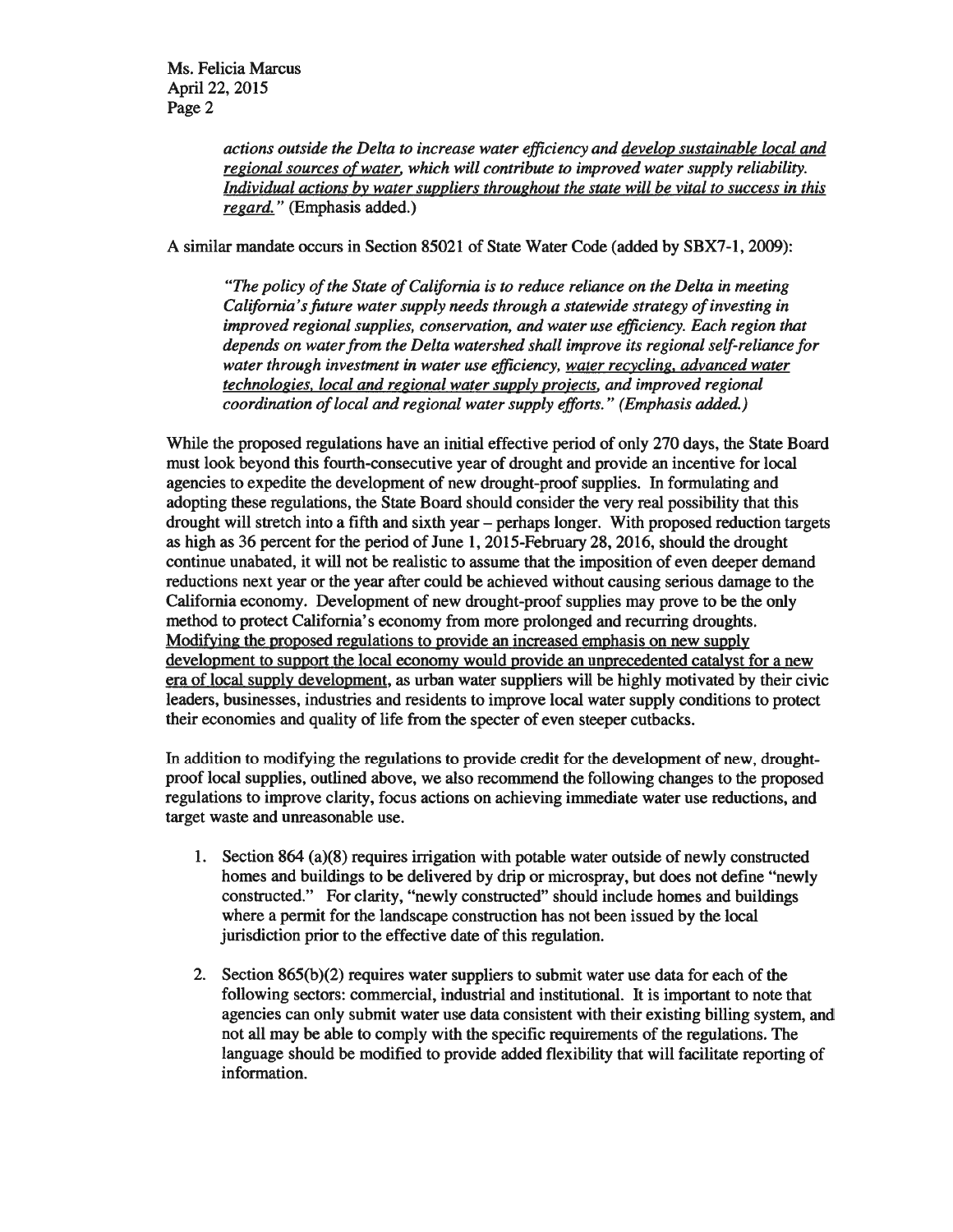actions outside the Delta to increase water efficiency and develop sustainable local and regional sources of water, which will contribute to improved water supply reliability. Individual actions by water suppliers throughout the state will be vital to success in this regard." (Emphasis added.)

A similar mandate occurs in Section 85021 of State Water Code (added by SBX7-1, 2009):

"The policy of the State of California is to reduce reliance on the Delta in meeting California's future water supply needs through a statewide strategy of investing in improved regional supplies, conservation, and water use efficiency. Each region that depends on water from the Delta watershed shall improve its regional self-reliance for water through investment in water use efficiency, water recycling, advanced water technologies, local and regional water supply projects, and improved regional coordination of local and regional water supply efforts." (Emphasis added.)

While the proposed regulations have an initial effective period of only 270 days, the State Board must look beyond this fourth-consecutive year of drought and provide an incentive for local agencies to expedite the development of new drought-proof supplies. In formulating and adopting these regulations, the State Board should consider the very real possibility that this drought will stretch into a fifth and sixth year – perhaps longer. With proposed reduction targets as high as 36 percent for the period of June 1, 2015-February 28, 2016, should the drought continue unabated, it will not be realistic to assume that the imposition of even deeper demand reductions next year or the year after could be achieved without causing serious damage to the California economy. Development of new drought-proof supplies may prove to be the only method to protect California's economy from more prolonged and recurring droughts. Modifying the proposed regulations to provide an increased emphasis on new supply development to support the local economy would provide an unprecedented catalyst for a new era of local supply development, as urban water suppliers will be highly motivated by their civic leaders, businesses, industries and residents to improve local water supply conditions to protect their economies and quality of life from the specter of even steeper cutbacks.

In addition to modifying the regulations to provide credit for the development of new, droughtproof local supplies, outlined above, we also recommend the following changes to the proposed regulations to improve clarity, focus actions on achieving immediate water use reductions, and target waste and unreasonable use.

- 1. Section 864 (a)(8) requires irrigation with potable water outside of newly constructed homes and buildings to be delivered by drip or microspray, but does not define "newly constructed." For clarity, "newly constructed" should include homes and buildings where a permit for the landscape construction has not been issued by the local jurisdiction prior to the effective date of this regulation.
- 2. Section  $865(b)(2)$  requires water suppliers to submit water use data for each of the following sectors: commercial, industrial and institutional. It is important to note that agencies can only submit water use data consistent with their existing billing system, and not all may be able to comply with the specific requirements of the regulations. The language should be modified to provide added flexibility that will facilitate reporting of information.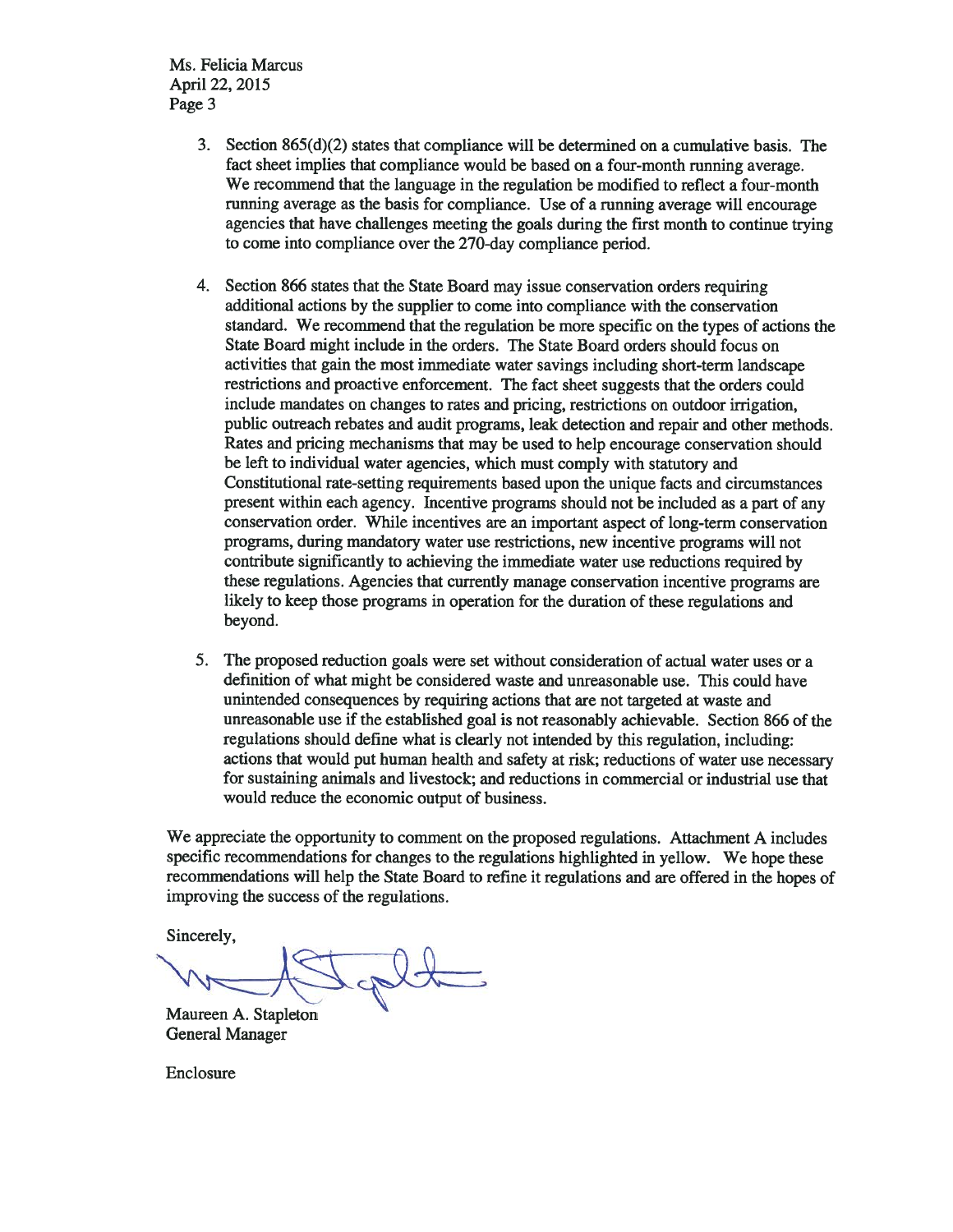Ms. Felicia Marcus April 22, 2015 Page 3

- 3. Section  $865(d)(2)$  states that compliance will be determined on a cumulative basis. The fact sheet implies that compliance would be based on a four-month running average. We recommend that the language in the regulation be modified to reflect a four-month running average as the basis for compliance. Use of a running average will encourage agencies that have challenges meeting the goals during the first month to continue trying to come into compliance over the 270-day compliance period.
- Section 866 states that the State Board may issue conservation orders requiring 4. additional actions by the supplier to come into compliance with the conservation standard. We recommend that the regulation be more specific on the types of actions the State Board might include in the orders. The State Board orders should focus on activities that gain the most immediate water savings including short-term landscape restrictions and proactive enforcement. The fact sheet suggests that the orders could include mandates on changes to rates and pricing, restrictions on outdoor irrigation, public outreach rebates and audit programs, leak detection and repair and other methods. Rates and pricing mechanisms that may be used to help encourage conservation should be left to individual water agencies, which must comply with statutory and Constitutional rate-setting requirements based upon the unique facts and circumstances present within each agency. Incentive programs should not be included as a part of any conservation order. While incentives are an important aspect of long-term conservation programs, during mandatory water use restrictions, new incentive programs will not contribute significantly to achieving the immediate water use reductions required by these regulations. Agencies that currently manage conservation incentive programs are likely to keep those programs in operation for the duration of these regulations and beyond.
- 5. The proposed reduction goals were set without consideration of actual water uses or a definition of what might be considered waste and unreasonable use. This could have unintended consequences by requiring actions that are not targeted at waste and unreasonable use if the established goal is not reasonably achievable. Section 866 of the regulations should define what is clearly not intended by this regulation, including: actions that would put human health and safety at risk; reductions of water use necessary for sustaining animals and livestock; and reductions in commercial or industrial use that would reduce the economic output of business.

We appreciate the opportunity to comment on the proposed regulations. Attachment A includes specific recommendations for changes to the regulations highlighted in yellow. We hope these recommendations will help the State Board to refine it regulations and are offered in the hopes of improving the success of the regulations.

Sincerely,

Maureen A. Stapleton **General Manager** 

Enclosure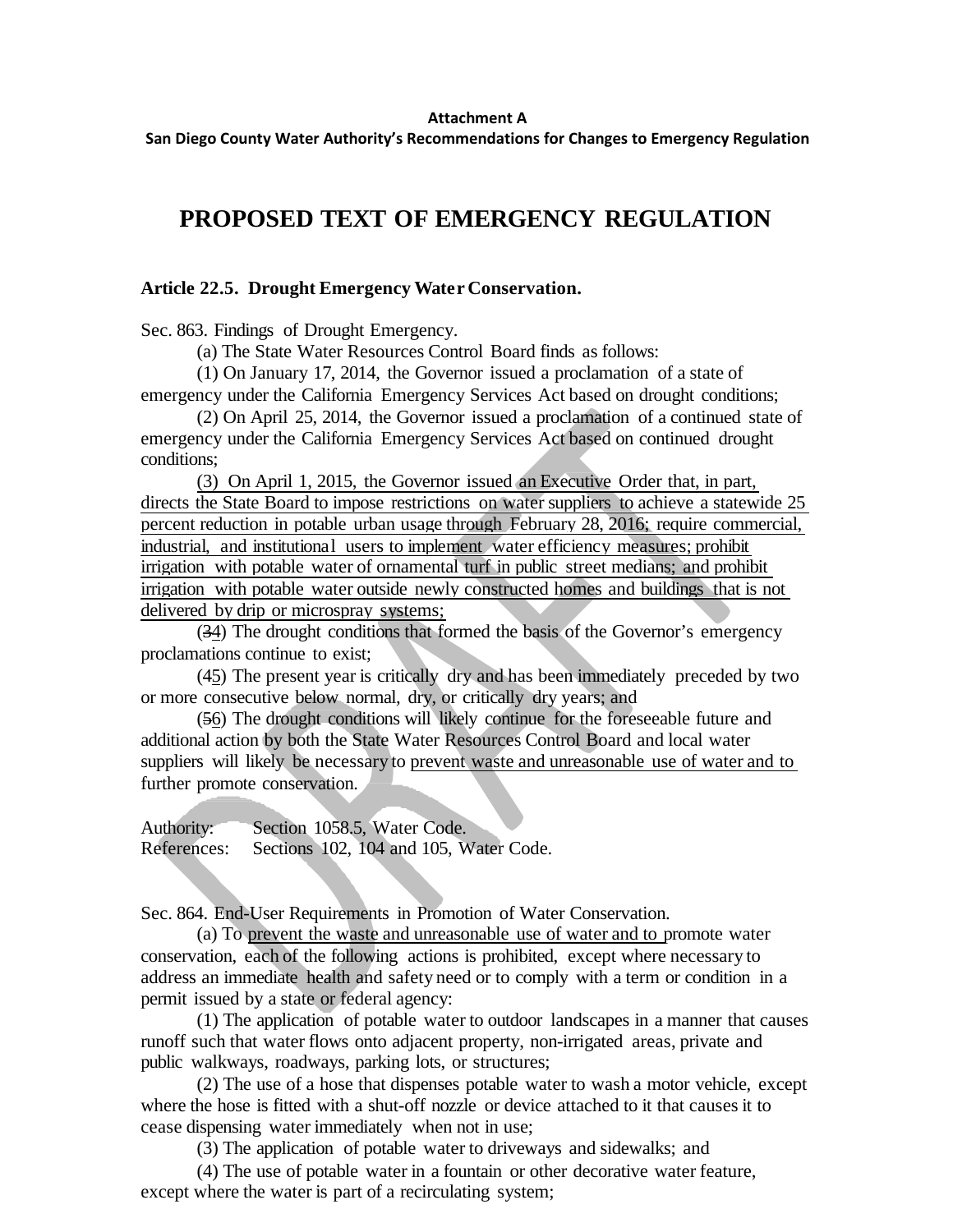## **Attachment A**

**San Diego County Water Authority's Recommendations for Changes to Emergency Regulation**

## **PROPOSED TEXT OF EMERGENCY REGULATION**

## **Article 22.5. Drought Emergency Water Conservation.**

Sec. 863. Findings of Drought Emergency.

(a) The State Water Resources Control Board finds as follows:

(1) On January 17, 2014, the Governor issued a proclamation of a state of emergency under the California Emergency Services Act based on drought conditions;

(2) On April 25, 2014, the Governor issued a proclamation of a continued state of emergency under the California Emergency Services Act based on continued drought conditions;

(3) On April 1, 2015, the Governor issued an Executive Order that, in part, directs the State Board to impose restrictions on water suppliers to achieve a statewide 25 percent reduction in potable urban usage through February 28, 2016; require commercial, industrial, and institutional users to implement water efficiency measures; prohibit irrigation with potable water of ornamental turf in public street medians; and prohibit irrigation with potable water outside newly constructed homes and buildings that is not delivered by drip or microspray systems;

(34) The drought conditions that formed the basis of the Governor's emergency proclamations continue to exist;

(45) The present year is critically dry and has been immediately preceded by two or more consecutive below normal, dry, or critically dry years; and

(56) The drought conditions will likely continue for the foreseeable future and additional action by both the State Water Resources Control Board and local water suppliers will likely be necessary to prevent waste and unreasonable use of water and to further promote conservation.

Authority: Section 1058.5, Water Code. References: Sections 102, 104 and 105, Water Code.

Sec. 864. End-User Requirements in Promotion of Water Conservation.

(a) To prevent the waste and unreasonable use of water and to promote water conservation, each of the following actions is prohibited, except where necessary to address an immediate health and safety need or to comply with a term or condition in a permit issued by a state or federal agency:

(1) The application of potable water to outdoor landscapes in a manner that causes runoff such that water flows onto adjacent property, non-irrigated areas, private and public walkways, roadways, parking lots, or structures;

(2) The use of a hose that dispenses potable water to wash a motor vehicle, except where the hose is fitted with a shut-off nozzle or device attached to it that causes it to cease dispensing water immediately when not in use;

(3) The application of potable water to driveways and sidewalks; and

(4) The use of potable water in a fountain or other decorative water feature, except where the water is part of a recirculating system;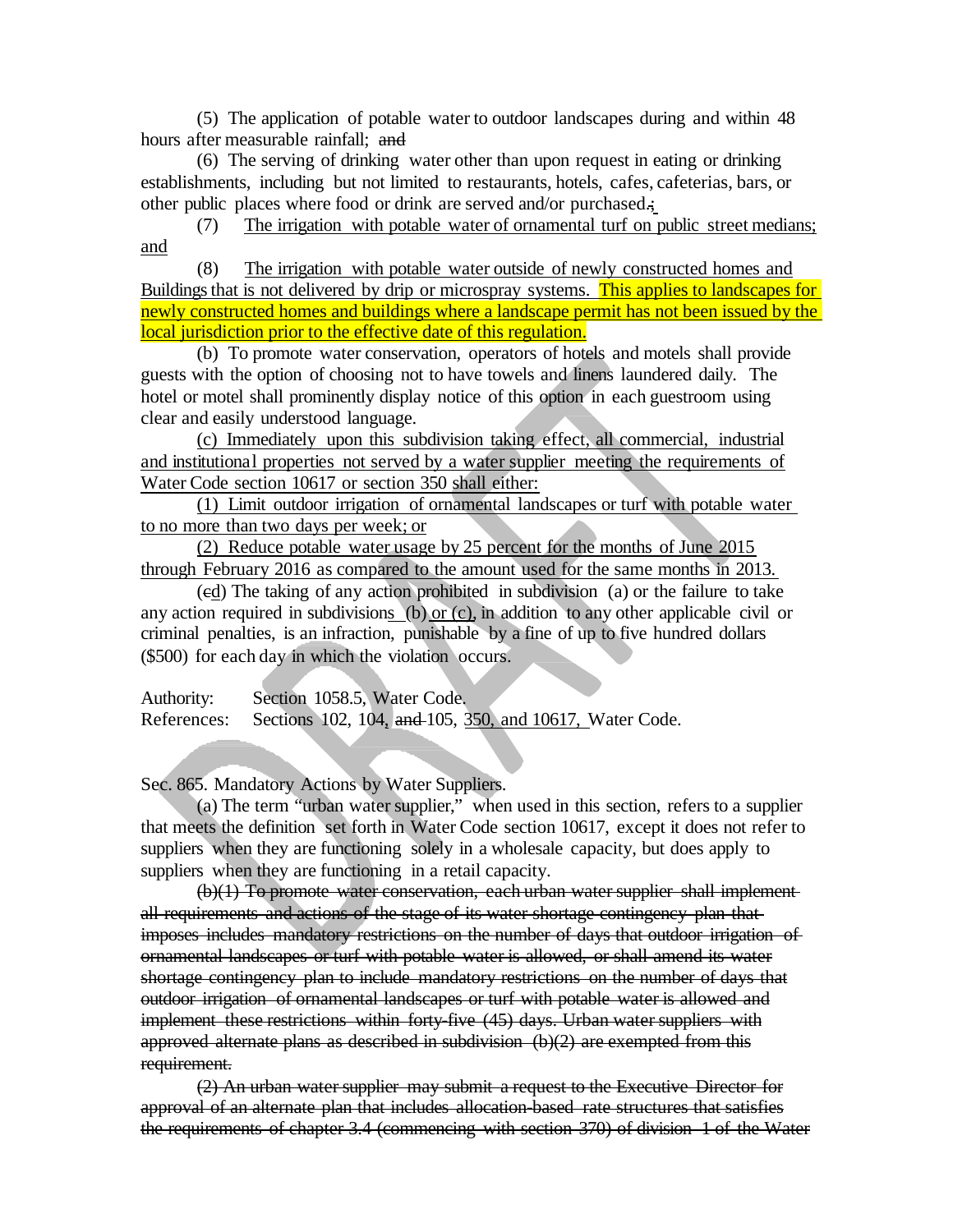(5) The application of potable water to outdoor landscapes during and within 48 hours after measurable rainfall: and

(6) The serving of drinking water other than upon request in eating or drinking establishments, including but not limited to restaurants, hotels, cafes, cafeterias, bars, or other public places where food or drink are served and/or purchased.;

(7) The irrigation with potable water of ornamental turf on public street medians; and

(8) The irrigation with potable water outside of newly constructed homes and Buildings that is not delivered by drip or microspray systems. This applies to landscapes for newly constructed homes and buildings where a landscape permit has not been issued by the local jurisdiction prior to the effective date of this regulation.

(b) To promote water conservation, operators of hotels and motels shall provide guests with the option of choosing not to have towels and linens laundered daily. The hotel or motel shall prominently display notice of this option in each guestroom using clear and easily understood language.

(c) Immediately upon this subdivision taking effect, all commercial, industrial and institutional properties not served by a water supplier meeting the requirements of Water Code section 10617 or section 350 shall either:

(1) Limit outdoor irrigation of ornamental landscapes or turf with potable water to no more than two days per week; or

(2) Reduce potable water usage by 25 percent for the months of June 2015 through February 2016 as compared to the amount used for the same months in 2013.

(cd) The taking of any action prohibited in subdivision (a) or the failure to take any action required in subdivisions (b) or (c), in addition to any other applicable civil or criminal penalties, is an infraction, punishable by a fine of up to five hundred dollars (\$500) for each day in which the violation occurs.

Authority: Section 1058.5, Water Code. References: Sections 102, 104, and 105, 350, and 10617, Water Code.

Sec. 865. Mandatory Actions by Water Suppliers.

(a) The term "urban water supplier," when used in this section, refers to a supplier that meets the definition set forth in Water Code section 10617, except it does not refer to suppliers when they are functioning solely in a wholesale capacity, but does apply to suppliers when they are functioning in a retail capacity.

(b)(1) To promote water conservation, each urban water supplier shall implement all requirements and actions of the stage of its water shortage contingency plan that imposes includes mandatory restrictions on the number of days that outdoor irrigation of ornamental landscapes or turf with potable water is allowed, or shall amend its water shortage contingency plan to include mandatory restrictions on the number of days that outdoor irrigation of ornamental landscapes or turf with potable water is allowed and implement these restrictions within forty-five (45) days. Urban water suppliers with approved alternate plans as described in subdivision (b)(2) are exempted from this requirement.

(2) An urban water supplier may submit a request to the Executive Director for approval of an alternate plan that includes allocation-based rate structures that satisfies the requirements of chapter 3.4 (commencing with section 370) of division 1 of the Water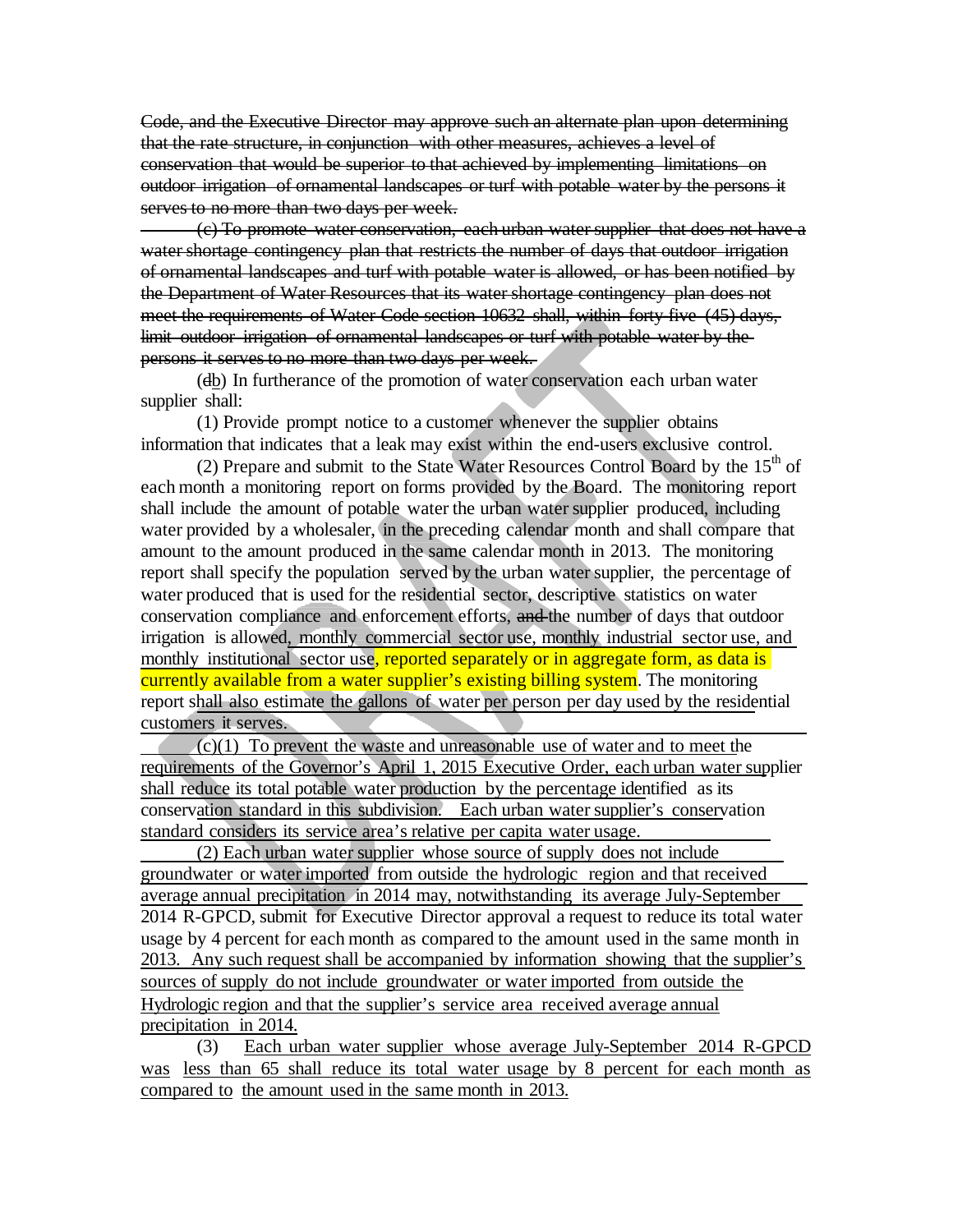Code, and the Executive Director may approve such an alternate plan upon determining that the rate structure, in conjunction with other measures, achieves a level of conservation that would be superior to that achieved by implementing limitations on outdoor irrigation of ornamental landscapes or turf with potable water by the persons it serves to no more than two days per week.

(c) To promote water conservation, each urban water supplier that does not have a water shortage contingency plan that restricts the number of days that outdoor irrigation of ornamental landscapes and turf with potable water is allowed, or has been notified by the Department of Water Resources that its water shortage contingency plan does not meet the requirements of Water Code section 10632 shall, within forty-five (45) days, limit outdoor irrigation of ornamental landscapes or turf with potable water by the persons it serves to no more than two days per week.

(db) In furtherance of the promotion of water conservation each urban water supplier shall:

(1) Provide prompt notice to a customer whenever the supplier obtains information that indicates that a leak may exist within the end-users exclusive control.

(2) Prepare and submit to the State Water Resources Control Board by the  $15<sup>th</sup>$  of each month a monitoring report on forms provided by the Board. The monitoring report shall include the amount of potable water the urban water supplier produced, including water provided by a wholesaler, in the preceding calendar month and shall compare that amount to the amount produced in the same calendar month in 2013. The monitoring report shall specify the population served by the urban water supplier, the percentage of water produced that is used for the residential sector, descriptive statistics on water conservation compliance and enforcement efforts, and the number of days that outdoor irrigation is allowed, monthly commercial sector use, monthly industrial sector use, and monthly institutional sector use, reported separately or in aggregate form, as data is currently available from a water supplier's existing billing system. The monitoring report shall also estimate the gallons of water per person per day used by the residential customers it serves.

 $(c)(1)$  To prevent the waste and unreasonable use of water and to meet the requirements of the Governor's April 1, 2015 Executive Order, each urban water supplier shall reduce its total potable water production by the percentage identified as its conservation standard in this subdivision. Each urban water supplier's conservation standard considers its service area's relative per capita water usage.

(2) Each urban water supplier whose source of supply does not include groundwater or water imported from outside the hydrologic region and that received average annual precipitation in 2014 may, notwithstanding its average July-September 2014 R-GPCD, submit for Executive Director approval a request to reduce its total water usage by 4 percent for each month as compared to the amount used in the same month in 2013. Any such request shall be accompanied by information showing that the supplier's sources of supply do not include groundwater or water imported from outside the Hydrologic region and that the supplier's service area received average annual precipitation in 2014.

(3) Each urban water supplier whose average July-September 2014 R-GPCD was less than 65 shall reduce its total water usage by 8 percent for each month as compared to the amount used in the same month in 2013.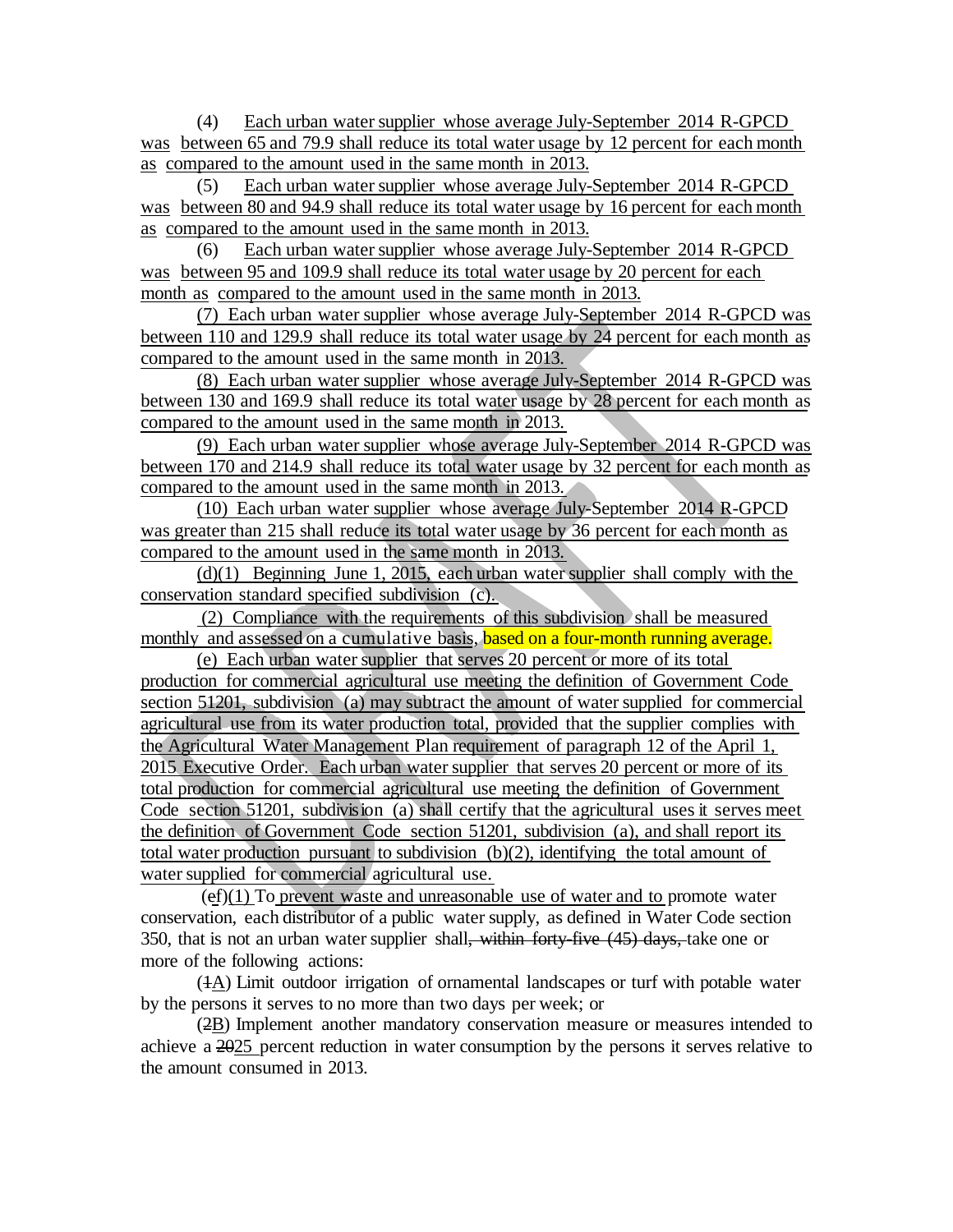(4) Each urban water supplier whose average July-September 2014 R-GPCD was between 65 and 79.9 shall reduce its total water usage by 12 percent for each month as compared to the amount used in the same month in 2013.

(5) Each urban water supplier whose average July-September 2014 R-GPCD was between 80 and 94.9 shall reduce its total water usage by 16 percent for each month as compared to the amount used in the same month in 2013.

(6) Each urban water supplier whose average July-September 2014 R-GPCD was between 95 and 109.9 shall reduce its total water usage by 20 percent for each month as compared to the amount used in the same month in 2013.

(7) Each urban water supplier whose average July-September 2014 R-GPCD was between 110 and 129.9 shall reduce its total water usage by 24 percent for each month as compared to the amount used in the same month in 2013.

(8) Each urban water supplier whose average July-September 2014 R-GPCD was between 130 and 169.9 shall reduce its total water usage by 28 percent for each month as compared to the amount used in the same month in 2013.

(9) Each urban water supplier whose average July-September 2014 R-GPCD was between 170 and 214.9 shall reduce its total water usage by 32 percent for each month as compared to the amount used in the same month in 2013.

(10) Each urban water supplier whose average July-September 2014 R-GPCD was greater than 215 shall reduce its total water usage by 36 percent for each month as compared to the amount used in the same month in 2013.

(d)(1) Beginning June 1, 2015, each urban water supplier shall comply with the conservation standard specified subdivision (c).

(2) Compliance with the requirements of this subdivision shall be measured monthly and assessed on a cumulative basis, based on a four-month running average.

(e) Each urban water supplier that serves 20 percent or more of its total production for commercial agricultural use meeting the definition of Government Code section 51201, subdivision (a) may subtract the amount of water supplied for commercial agricultural use from its water production total, provided that the supplier complies with the Agricultural Water Management Plan requirement of paragraph 12 of the April 1, 2015 Executive Order. Each urban water supplier that serves 20 percent or more of its total production for commercial agricultural use meeting the definition of Government Code section 51201, subdivision (a) shall certify that the agricultural uses it serves meet the definition of Government Code section 51201, subdivision (a), and shall report its total water production pursuant to subdivision (b)(2), identifying the total amount of water supplied for commercial agricultural use.

 $(ef)(1)$  To prevent waste and unreasonable use of water and to promote water conservation, each distributor of a public water supply, as defined in Water Code section 350, that is not an urban water supplier shall, within forty-five (45) days, take one or more of the following actions:

(1A) Limit outdoor irrigation of ornamental landscapes or turf with potable water by the persons it serves to no more than two days per week; or

(2B) Implement another mandatory conservation measure or measures intended to achieve a 2025 percent reduction in water consumption by the persons it serves relative to the amount consumed in 2013.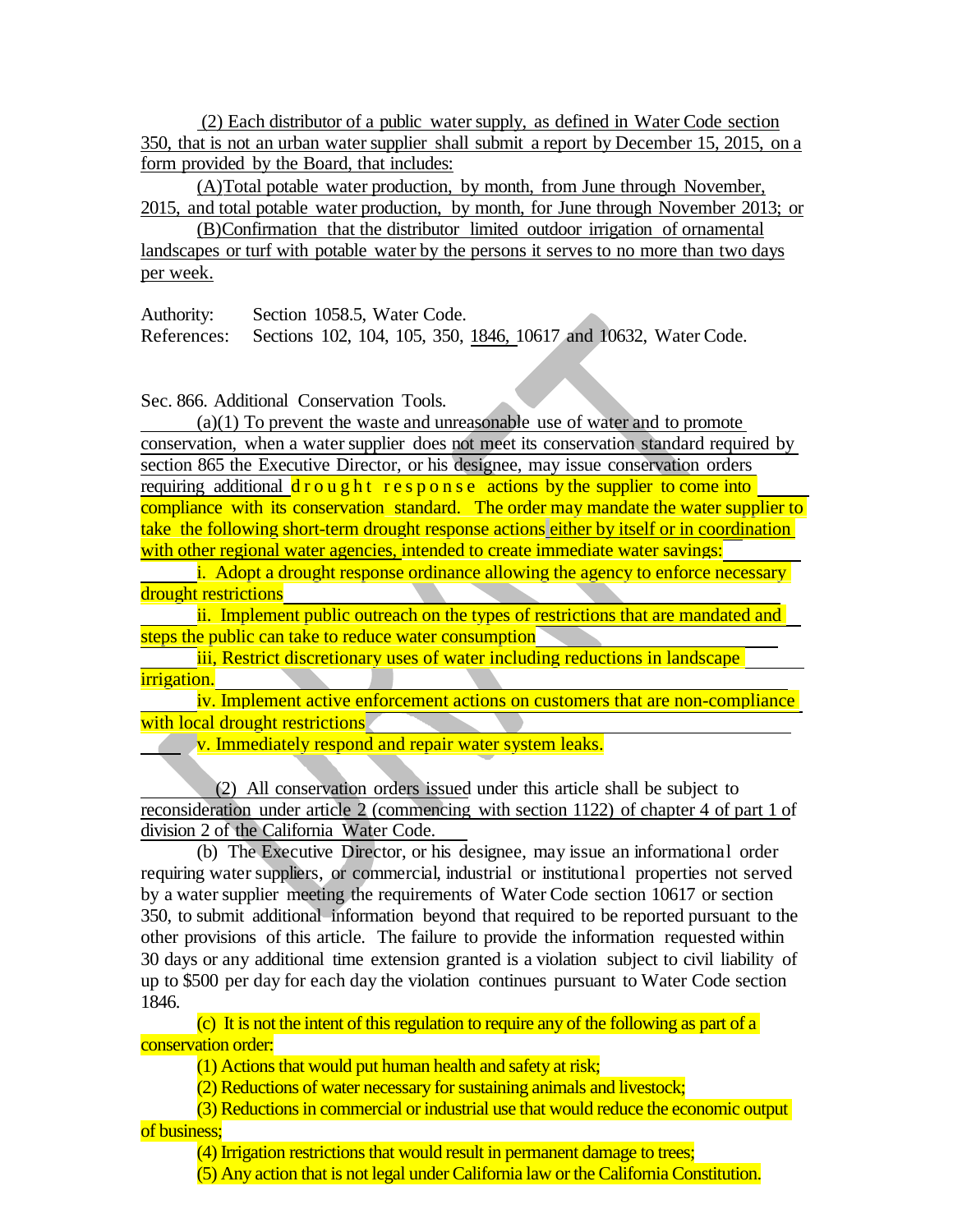(2) Each distributor of a public water supply, as defined in Water Code section 350, that is not an urban water supplier shall submit a report by December 15, 2015, on a form provided by the Board, that includes:

(A)Total potable water production, by month, from June through November, 2015, and total potable water production, by month, for June through November 2013; or

(B)Confirmation that the distributor limited outdoor irrigation of ornamental landscapes or turf with potable water by the persons it serves to no more than two days per week.

Authority: Section 1058.5, Water Code.

References: Sections 102, 104, 105, 350, 1846, 10617 and 10632, Water Code.

Sec. 866. Additional Conservation Tools.

(a)(1) To prevent the waste and unreasonable use of water and to promote conservation, when a water supplier does not meet its conservation standard required by section 865 the Executive Director, or his designee, may issue conservation orders requiring additional  $d$ rought response actions by the supplier to come into compliance with its conservation standard. The order may mandate the water supplier to take the following short-term drought response actions either by itself or in coordination with other regional water agencies, intended to create immediate water savings:

i. Adopt a drought response ordinance allowing the agency to enforce necessary drought restrictions

ii. Implement public outreach on the types of restrictions that are mandated and steps the public can take to reduce water consumption

iii, Restrict discretionary uses of water including reductions in landscape irrigation.

iv. Implement active enforcement actions on customers that are non-compliance with local drought restrictions

**v.** Immediately respond and repair water system leaks.

(2) All conservation orders issued under this article shall be subject to reconsideration under article 2 (commencing with section 1122) of chapter 4 of part 1 of division 2 of the California Water Code.

(b) The Executive Director, or his designee, may issue an informational order requiring water suppliers, or commercial, industrial or institutional properties not served by a water supplier meeting the requirements of Water Code section 10617 or section 350, to submit additional information beyond that required to be reported pursuant to the other provisions of this article. The failure to provide the information requested within 30 days or any additional time extension granted is a violation subject to civil liability of up to \$500 per day for each day the violation continues pursuant to Water Code section 1846.

(c) It is not the intent of this regulation to require any of the following as part of a conservation order:

(1) Actions that would put human health and safety at risk;

(2) Reductions of water necessary for sustaining animals and livestock;

(3) Reductions in commercial or industrial use that would reduce the economic output

of business;

(4) Irrigation restrictions that would result in permanent damage to trees;

(5) Any action that is not legal under California law or the California Constitution.